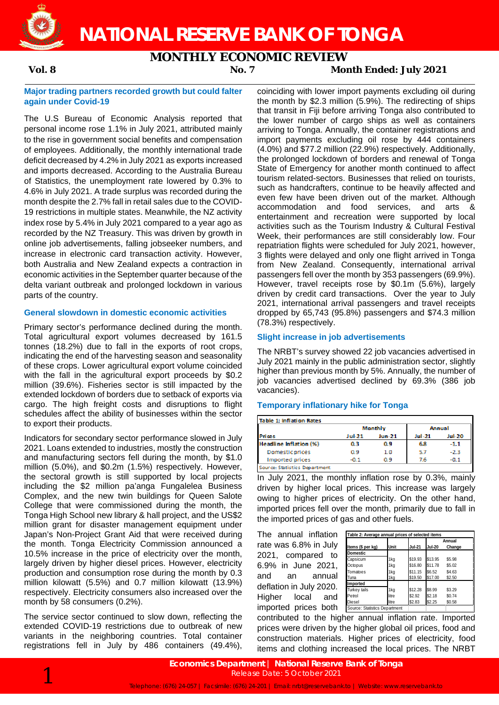

### **MONTHLY ECONOMIC REVIEW**

**Vol. 8 No. 7 Month Ended: July 2021**

#### **Major trading partners recorded growth but could falter again under Covid-19**

The U.S Bureau of Economic Analysis reported that personal income rose 1.1% in July 2021, attributed mainly to the rise in government social benefits and compensation of employees. Additionally, the monthly international trade deficit decreased by 4.2% in July 2021 as exports increased and imports decreased. According to the Australia Bureau of Statistics, the unemployment rate lowered by 0.3% to 4.6% in July 2021. A trade surplus was recorded during the month despite the 2.7% fall in retail sales due to the COVID-19 restrictions in multiple states. Meanwhile, the NZ activity index rose by 5.4% in July 2021 compared to a year ago as recorded by the NZ Treasury. This was driven by growth in online job advertisements, falling jobseeker numbers, and increase in electronic card transaction activity. However, both Australia and New Zealand expects a contraction in economic activities in the September quarter because of the delta variant outbreak and prolonged lockdown in various parts of the country.

#### **General slowdown in domestic economic activities**

Primary sector's performance declined during the month. Total agricultural export volumes decreased by 161.5 tonnes (18.2%) due to fall in the exports of root crops, indicating the end of the harvesting season and seasonality of these crops. Lower agricultural export volume coincided with the fall in the agricultural export proceeds by \$0.2 million (39.6%). Fisheries sector is still impacted by the extended lockdown of borders due to setback of exports via cargo. The high freight costs and disruptions to flight schedules affect the ability of businesses within the sector to export their products.

Indicators for secondary sector performance slowed in July 2021. Loans extended to industries, mostly the construction and manufacturing sectors fell during the month, by \$1.0 million (5.0%), and \$0.2m (1.5%) respectively. However, the sectoral growth is still supported by local projects including the \$2 million pa'anga Fungalelea Business Complex, and the new twin buildings for Queen Salote College that were commissioned during the month, the Tonga High School new library & hall project, and the US\$2 million grant for disaster management equipment under Japan's Non-Project Grant Aid that were received during the month. Tonga Electricity Commission announced a 10.5% increase in the price of electricity over the month, largely driven by higher diesel prices. However, electricity production and consumption rose during the month by 0.3 million kilowatt (5.5%) and 0.7 million kilowatt (13.9%) respectively. Electricity consumers also increased over the month by 58 consumers (0.2%).

The service sector continued to slow down, reflecting the extended COVID-19 restrictions due to outbreak of new variants in the neighboring countries. Total container registrations fell in July by 486 containers (49.4%),

coinciding with lower import payments excluding oil during the month by \$2.3 million (5.9%). The redirecting of ships that transit in Fiji before arriving Tonga also contributed to the lower number of cargo ships as well as containers arriving to Tonga. Annually, the container registrations and import payments excluding oil rose by 444 containers (4.0%) and \$77.2 million (22.9%) respectively. Additionally, the prolonged lockdown of borders and renewal of Tonga State of Emergency for another month continued to affect tourism related-sectors. Businesses that relied on tourists, such as handcrafters, continue to be heavily affected and even few have been driven out of the market. Although accommodation and food services, and arts entertainment and recreation were supported by local activities such as the Tourism Industry & Cultural Festival Week, their performances are still considerably low. Four repatriation flights were scheduled for July 2021, however, 3 flights were delayed and only one flight arrived in Tonga from New Zealand. Consequently, international arrival passengers fell over the month by 353 passengers (69.9%). However, travel receipts rose by \$0.1m (5.6%), largely driven by credit card transactions. Over the year to July 2021, international arrival passengers and travel receipts dropped by 65,743 (95.8%) passengers and \$74.3 million (78.3%) respectively.

### **Slight increase in job advertisements**

The NRBT's survey showed 22 job vacancies advertised in July 2021 mainly in the public administration sector, slightly higher than previous month by 5%. Annually, the number of job vacancies advertised declined by 69.3% (386 job vacancies).

### **Temporary inflationary hike for Tonga**

| <b>Table 1: Inflation Rates</b> |        |                |               |               |  |
|---------------------------------|--------|----------------|---------------|---------------|--|
|                                 |        | <b>Monthly</b> | <b>Annual</b> |               |  |
| <b>Prices</b>                   | Jul-21 | <b>Jun-21</b>  | <b>Jul-21</b> | <b>Jul-20</b> |  |
| Headline Inflation (%)          | 0.3    | 0.9            | 6.8           | $-1.1$        |  |
| Domestic prices                 | 0.9    | 1.0            | 5.7           | $-2.3$        |  |
| Imported prices                 | ר ה-   | ۵۹             | 7.6           | $-0.1$        |  |
| Source: Statistics Department   |        |                |               |               |  |

In July 2021, the monthly inflation rose by 0.3%, mainly driven by higher local prices. This increase was largely owing to higher prices of electricity. On the other hand, imported prices fell over the month, primarily due to fall in the imported prices of gas and other fuels.

The annual inflation rate was 6.8% in July 2021, compared to 6.9% in June 2021, and an annual deflation in July 2020. Higher local and imported prices both

| Table 2: Average annual prices of selected items |       |               |               |        |  |  |  |
|--------------------------------------------------|-------|---------------|---------------|--------|--|--|--|
|                                                  |       |               | Annual        |        |  |  |  |
| Items (\$ per kg)                                | Unit  | <b>Jul-21</b> | <b>Jul-20</b> | Change |  |  |  |
| <b>Domestic</b>                                  |       |               |               |        |  |  |  |
| Capsicum                                         | 1kg   | \$19.93       | \$13.95       | \$5.98 |  |  |  |
| Octopus                                          | 1kg   | \$16.80       | \$11.78       | \$5.02 |  |  |  |
| Tomatoes                                         | 1kg   | \$11.15       | \$6.52        | \$4.63 |  |  |  |
| Tuna                                             | 1kg   | \$19.50       | \$17.00       | \$2.50 |  |  |  |
| Imported                                         |       |               |               |        |  |  |  |
| Turkey tails                                     | 1kg   | \$12.28       | \$8.99        | \$3.29 |  |  |  |
| Petrol                                           | litre | \$2.92        | \$2.18        | \$0.74 |  |  |  |
| Diesel                                           | litre | \$2.83        | \$2.25        | \$0.58 |  |  |  |
| Source: Statistics Department                    |       |               |               |        |  |  |  |

contributed to the higher annual inflation rate. Imported prices were driven by the higher global oil prices, food and construction materials. Higher prices of electricity, food items and clothing increased the local prices. The NRBT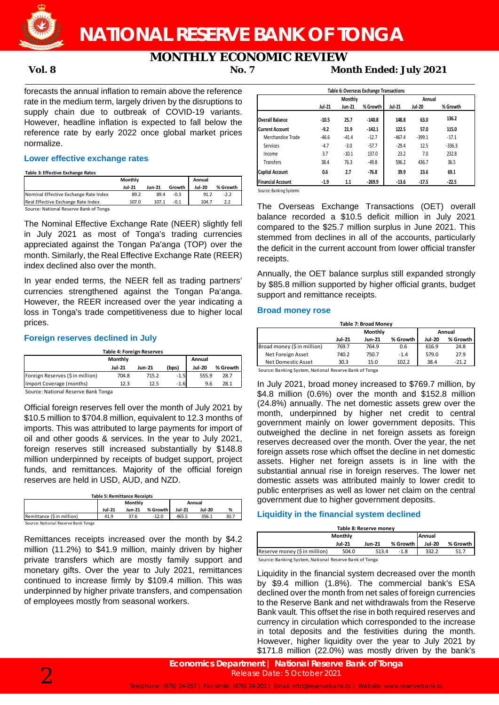

## **NATIONAL RESERVE BANK OF TONGA**

# **MONTHLY ECONOMIC REVIEW**<br>No. 7 Mor

**Vol. 8 No. 7 Month Ended: July 2021**

forecasts the annual inflation to remain above the reference rate in the medium term, largely driven by the disruptions to supply chain due to outbreak of COVID-19 variants. However, headline inflation is expected to fall below the reference rate by early 2022 once global market prices normalize.

#### **Lower effective exchange rates**

**Table 3: Effective Exchange Rates**

|                                        | Monthly       |        |        | Annual        |          |
|----------------------------------------|---------------|--------|--------|---------------|----------|
|                                        | <b>Jul-21</b> | Jun-21 | Growth | <b>Jul-20</b> | % Growth |
| Nominal Effective Exchange Rate Index  | 89.2          | 89.4   | $-0.3$ | 91.2          | $-2.2$   |
| Real Effective Exchange Rate Index     | 107.0         | 107.1  | $-0.1$ | 104.7         |          |
| Cource: National Recense Rank of Tonga |               |        |        |               |          |

Source: National Reserve Bank of Tonga

The Nominal Effective Exchange Rate (NEER) slightly fell in July 2021 as most of Tonga's trading currencies appreciated against the Tongan Pa'anga (TOP) over the month. Similarly, the Real Effective Exchange Rate (REER) index declined also over the month.

In year ended terms, the NEER fell as trading partners' currencies strengthened against the Tongan Pa'anga. However, the REER increased over the year indicating a loss in Tonga's trade competitiveness due to higher local prices.

#### **Foreign reserves declined in July**

| Table 4: Foreign Reserves           |               |        |        |               |          |  |  |  |
|-------------------------------------|---------------|--------|--------|---------------|----------|--|--|--|
| Monthly<br>Annual                   |               |        |        |               |          |  |  |  |
|                                     | <b>Jul-21</b> | Jun-21 | (bps)  | <b>Jul-20</b> | % Growth |  |  |  |
| Foreign Reserves (\$ in million)    | 704.8         | 715.2  | $-1.5$ | 555.9         | 28.7     |  |  |  |
| Import Coverage (months)            | 12.3          | 12.5   | $-1.6$ | 9.6           | 28.1     |  |  |  |
| Course: Notional Desamio Dank Tongo |               |        |        |               |          |  |  |  |

Source: National Reserve Bank Tonga

Official foreign reserves fell over the month of July 2021 by \$10.5 million to \$704.8 million, equivalent to 12.3 months of imports. This was attributed to large payments for import of oil and other goods & services. In the year to July 2021, foreign reserves still increased substantially by \$148.8 million underpinned by receipts of budget support, project funds, and remittances. Majority of the official foreign reserves are held in USD, AUD, and NZD.

| <b>Table 5: Remittance Receipts</b> |                          |               |          |               |               |      |  |  |
|-------------------------------------|--------------------------|---------------|----------|---------------|---------------|------|--|--|
|                                     | <b>Monthly</b><br>Annual |               |          |               |               |      |  |  |
|                                     | <b>Jul-21</b>            | <b>Jun-21</b> | % Growth | <b>Jul-21</b> | <b>Jul-20</b> | %    |  |  |
| Remittance (\$ in million)          | 41.9                     | 37.6          | $-12.0$  | 465.5         | 356.1         | 30.7 |  |  |
| Source: National Reserve Bank Tonga |                          |               |          |               |               |      |  |  |

Remittances receipts increased over the month by \$4.2 million (11.2%) to \$41.9 million, mainly driven by higher private transfers which are mostly family support and monetary gifts. Over the year to July 2021, remittances continued to increase firmly by \$109.4 million. This was underpinned by higher private transfers, and compensation of employees mostly from seasonal workers.

|                        |         | <b>Monthly</b> |          |               | Annual        |          |
|------------------------|---------|----------------|----------|---------------|---------------|----------|
|                        | Jul-21  | Jun-21         | % Growth | <b>Jul-21</b> | <b>Jul-20</b> | % Growth |
| Overall Balance        | $-10.5$ | 25.7           | $-140.8$ | 148.8         | 63.0          | 136.2    |
| Current Account        | $-9.2$  | 21.9           | $-142.1$ | 122.5         | 57.0          | 115.0    |
| Merchandise Trade      | $-46.6$ | $-41.4$        | $-12.7$  | $-467.4$      | $-399.1$      | $-17.1$  |
| Services               | $-4.7$  | $-3.0$         | $-57.7$  | $-29.4$       | 12.5          | $-336.3$ |
| Income                 | 3.7     | $-10.1$        | 137.0    | 23.2          | 7.0           | 232.8    |
| <b>Transfers</b>       | 38.4    | 76.3           | $-49.8$  | 596.2         | 436.7         | 36.5     |
| <b>Capital Account</b> | 0.6     | 2.7            | $-76.8$  | 39.9          | 23.6          | 69.1     |
| Financial Account      | $-1.9$  | 1.1            | $-269.9$ | $-13.6$       | $-17.5$       | $-22.5$  |

Source: Banking Systems

The Overseas Exchange Transactions (OET) overall balance recorded a \$10.5 deficit million in July 2021 compared to the \$25.7 million surplus in June 2021. This stemmed from declines in all of the accounts, particularly the deficit in the current account from lower official transfer receipts.

Annually, the OET balance surplus still expanded strongly by \$85.8 million supported by higher official grants, budget support and remittance receipts.

#### **Broad money rose**

| Table 7: Broad Money        |               |               |          |               |          |  |  |  |
|-----------------------------|---------------|---------------|----------|---------------|----------|--|--|--|
|                             |               | Monthly       |          | Annual        |          |  |  |  |
|                             | <b>Jul-21</b> | <b>Jun-21</b> | % Growth | <b>Jul-20</b> | % Growth |  |  |  |
| Broad money (\$ in million) | 769.7         | 764.9         | 0.6      | 616.9         | 24.8     |  |  |  |
| Net Foreign Asset           | 740.2         | 750.7         | $-1.4$   | 579.0         | 27.9     |  |  |  |
| Net Domestic Asset          | 30.3          | 15.0          | 102.2    | 38.4          | $-21.2$  |  |  |  |

Source: Banking System, National Reserve Bank of Tonga

In July 2021, broad money increased to \$769.7 million, by \$4.8 million (0.6%) over the month and \$152.8 million (24.8%) annually. The net domestic assets grew over the month, underpinned by higher net credit to central government mainly on lower government deposits. This outweighed the decline in net foreign assets as foreign reserves decreased over the month. Over the year, the net foreign assets rose which offset the decline in net domestic assets. Higher net foreign assets is in line with the substantial annual rise in foreign reserves. The lower net domestic assets was attributed mainly to lower credit to public enterprises as well as lower net claim on the central government due to higher government deposits.

### **Liquidity in the financial system declined**

| Table 8: Reserve money   |        |          |               |          |  |  |  |  |
|--------------------------|--------|----------|---------------|----------|--|--|--|--|
| Monthly<br><b>Annual</b> |        |          |               |          |  |  |  |  |
| <b>Jul-21</b>            | Jun-21 | % Growth | <b>Jul-20</b> | % Growth |  |  |  |  |
| 504.0                    | 513.4  | $-1.8$   | 332.2         |          |  |  |  |  |
|                          |        |          |               |          |  |  |  |  |

Source: Banking System, National Reserve Bank of Tonga

Liquidity in the financial system decreased over the month by \$9.4 million (1.8%). The commercial bank's ESA declined over the month from net sales of foreign currencies to the Reserve Bank and net withdrawals from the Reserve Bank vault. This offset the rise in both required reserves and currency in circulation which corresponded to the increase in total deposits and the festivities during the month. However, higher liquidity over the year to July 2021 by \$171.8 million (22.0%) was mostly driven by the bank's